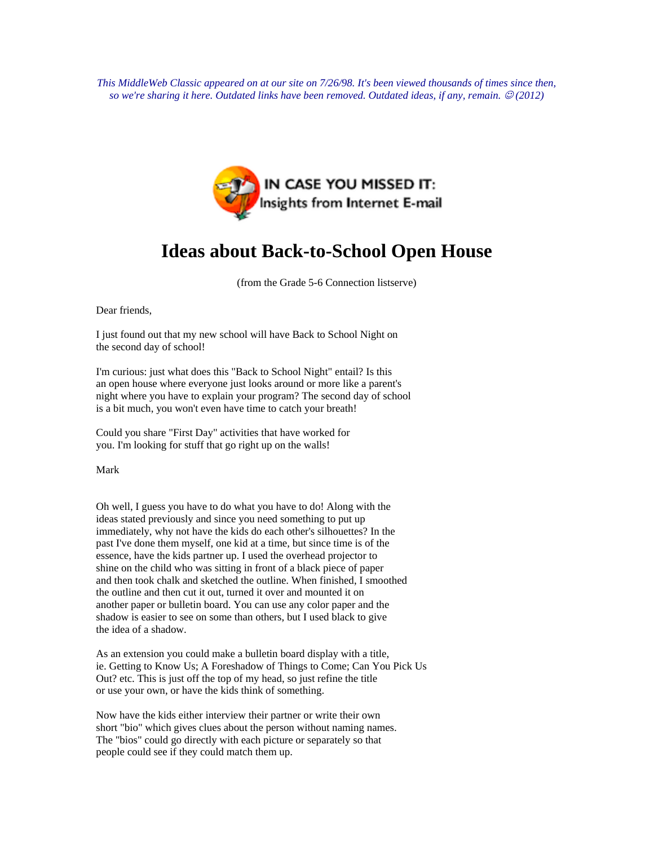*This MiddleWeb Classic appeared on at our site on 7/26/98. It's been viewed thousands of times since then, so we're sharing it here. Outdated links have been removed. Outdated ideas, if any, remain. (2012)*



# **Ideas about Back-to-School Open House**

(from the Grade 5-6 Connection listserve)

Dear friends,

I just found out that my new school will have Back to School Night on the second day of school!

I'm curious: just what does this "Back to School Night" entail? Is this an open house where everyone just looks around or more like a parent's night where you have to explain your program? The second day of school is a bit much, you won't even have time to catch your breath!

Could you share "First Day" activities that have worked for you. I'm looking for stuff that go right up on the walls!

Mark

Oh well, I guess you have to do what you have to do! Along with the ideas stated previously and since you need something to put up immediately, why not have the kids do each other's silhouettes? In the past I've done them myself, one kid at a time, but since time is of the essence, have the kids partner up. I used the overhead projector to shine on the child who was sitting in front of a black piece of paper and then took chalk and sketched the outline. When finished, I smoothed the outline and then cut it out, turned it over and mounted it on another paper or bulletin board. You can use any color paper and the shadow is easier to see on some than others, but I used black to give the idea of a shadow.

As an extension you could make a bulletin board display with a title, ie. Getting to Know Us; A Foreshadow of Things to Come; Can You Pick Us Out? etc. This is just off the top of my head, so just refine the title or use your own, or have the kids think of something.

Now have the kids either interview their partner or write their own short "bio" which gives clues about the person without naming names. The "bios" could go directly with each picture or separately so that people could see if they could match them up.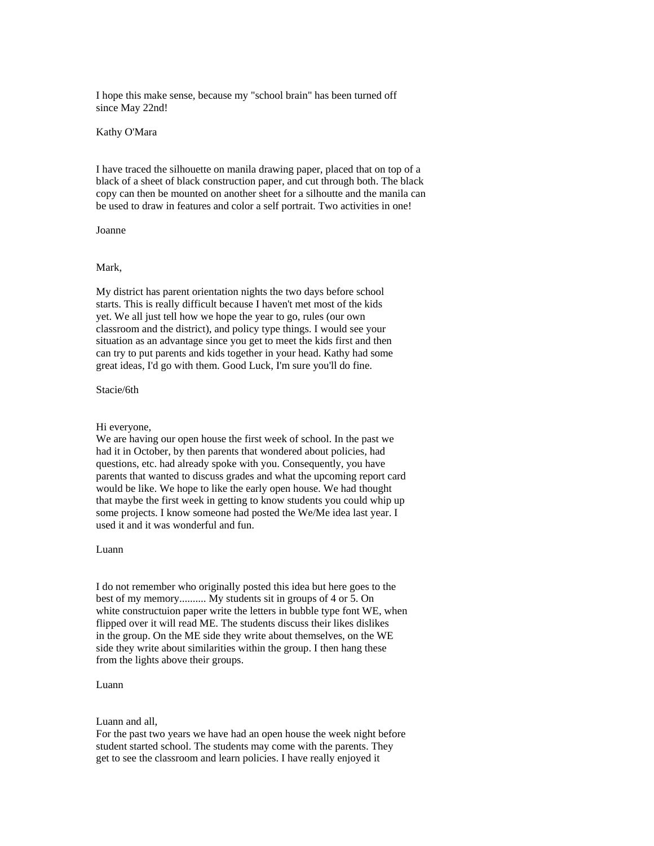I hope this make sense, because my "school brain" has been turned off since May 22nd!

Kathy O'Mara

I have traced the silhouette on manila drawing paper, placed that on top of a black of a sheet of black construction paper, and cut through both. The black copy can then be mounted on another sheet for a silhoutte and the manila can be used to draw in features and color a self portrait. Two activities in one!

# Joanne

#### Mark,

My district has parent orientation nights the two days before school starts. This is really difficult because I haven't met most of the kids yet. We all just tell how we hope the year to go, rules (our own classroom and the district), and policy type things. I would see your situation as an advantage since you get to meet the kids first and then can try to put parents and kids together in your head. Kathy had some great ideas, I'd go with them. Good Luck, I'm sure you'll do fine.

Stacie/6th

#### Hi everyone,

We are having our open house the first week of school. In the past we had it in October, by then parents that wondered about policies, had questions, etc. had already spoke with you. Consequently, you have parents that wanted to discuss grades and what the upcoming report card would be like. We hope to like the early open house. We had thought that maybe the first week in getting to know students you could whip up some projects. I know someone had posted the We/Me idea last year. I used it and it was wonderful and fun.

Luann

I do not remember who originally posted this idea but here goes to the best of my memory.......... My students sit in groups of 4 or 5. On white constructuion paper write the letters in bubble type font WE, when flipped over it will read ME. The students discuss their likes dislikes in the group. On the ME side they write about themselves, on the WE side they write about similarities within the group. I then hang these from the lights above their groups.

#### Luann

## Luann and all,

For the past two years we have had an open house the week night before student started school. The students may come with the parents. They get to see the classroom and learn policies. I have really enjoyed it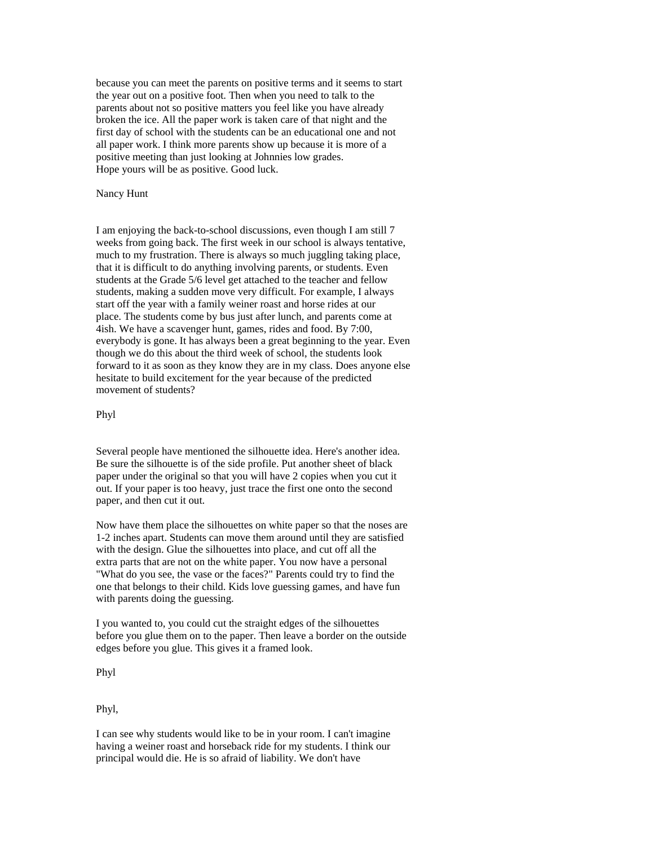because you can meet the parents on positive terms and it seems to start the year out on a positive foot. Then when you need to talk to the parents about not so positive matters you feel like you have already broken the ice. All the paper work is taken care of that night and the first day of school with the students can be an educational one and not all paper work. I think more parents show up because it is more of a positive meeting than just looking at Johnnies low grades. Hope yours will be as positive. Good luck.

# Nancy Hunt

I am enjoying the back-to-school discussions, even though I am still 7 weeks from going back. The first week in our school is always tentative, much to my frustration. There is always so much juggling taking place, that it is difficult to do anything involving parents, or students. Even students at the Grade 5/6 level get attached to the teacher and fellow students, making a sudden move very difficult. For example, I always start off the year with a family weiner roast and horse rides at our place. The students come by bus just after lunch, and parents come at 4ish. We have a scavenger hunt, games, rides and food. By 7:00, everybody is gone. It has always been a great beginning to the year. Even though we do this about the third week of school, the students look forward to it as soon as they know they are in my class. Does anyone else hesitate to build excitement for the year because of the predicted movement of students?

## Phyl

Several people have mentioned the silhouette idea. Here's another idea. Be sure the silhouette is of the side profile. Put another sheet of black paper under the original so that you will have 2 copies when you cut it out. If your paper is too heavy, just trace the first one onto the second paper, and then cut it out.

Now have them place the silhouettes on white paper so that the noses are 1-2 inches apart. Students can move them around until they are satisfied with the design. Glue the silhouettes into place, and cut off all the extra parts that are not on the white paper. You now have a personal "What do you see, the vase or the faces?" Parents could try to find the one that belongs to their child. Kids love guessing games, and have fun with parents doing the guessing.

I you wanted to, you could cut the straight edges of the silhouettes before you glue them on to the paper. Then leave a border on the outside edges before you glue. This gives it a framed look.

Phyl

### Phyl,

I can see why students would like to be in your room. I can't imagine having a weiner roast and horseback ride for my students. I think our principal would die. He is so afraid of liability. We don't have